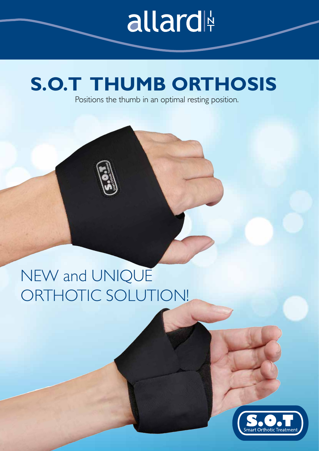# allard

## **S.O.T THUMB ORTHOSIS**

Positions the thumb in an optimal resting position.

## NEW and UNIQUE ORTHOTIC SOLUTION!

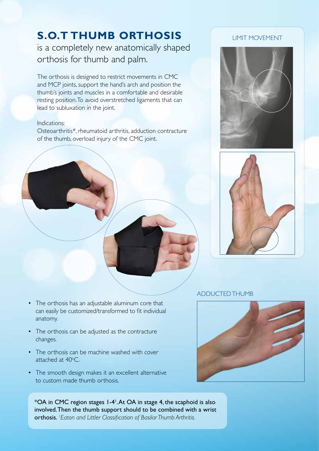### **S.O.T THUMB ORTHOSIS**

is a completely new anatomically shaped orthosis for thumb and palm.

The orthosis is designed to restrict movements in CMC and MCP joints, support the hand's arch and position the thumb's joints and muscles in a comfortable and desirable resting position. To avoid overstretched ligaments that can lead to subluxation in the joint.

#### Indications:

Osteoarthritis\*, rheumatoid arthritis, adduction contracture of the thumb, overload injury of the CMC joint.

#### LIMIT MOVEMENT





#### ADDUCTED THUMB



- The orthosis has an adjustable aluminum core that can easily be customized/transformed to fit individual anatomy.
- The orthosis can be adjusted as the contracture changes.
- The orthosis can be machine washed with cover attached at  $40^{\circ}$ C.
- The smooth design makes it an excellent alternative to custom made thumb orthosis.

\*OA in CMC region stages 1-41 . At OA in stage 4, the scaphoid is also involved. Then the thumb support should to be combined with a wrist orthosis. *<sup>1</sup> Eaton and Littler Classification of Basilar Thumb Arthritis.*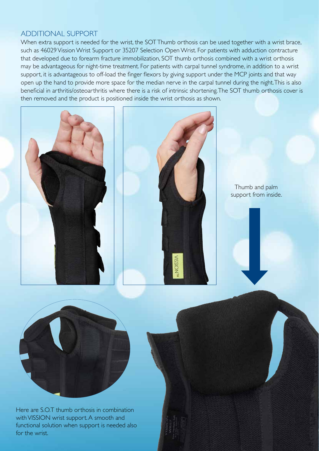#### ADDITIONAL SUPPORT

When extra support is needed for the wrist, the SOT Thumb orthosis can be used together with a wrist brace, such as 46029 Vission Wrist Support or 35207 Selection Open Wrist. For patients with adduction contracture that developed due to forearm fracture immobilization, SOT thumb orthosis combined with a wrist orthosis may be advantageous for night-time treatment. For patients with carpal tunnel syndrome, in addition to a wrist support, it is advantageous to off-load the finger flexors by giving support under the MCP joints and that way open up the hand to provide more space for the median nerve in the carpal tunnel during the night. This is also beneficial in arthritis/osteoarthritis where there is a risk of intrinsic shortening. The SOT thumb orthosis cover is then removed and the product is positioned inside the wrist orthosis as shown.





Thumb and palm support from inside.



Here are S.O.T thumb orthosis in combination with VISSION wrist support. A smooth and functional solution when support is needed also for the wrist.